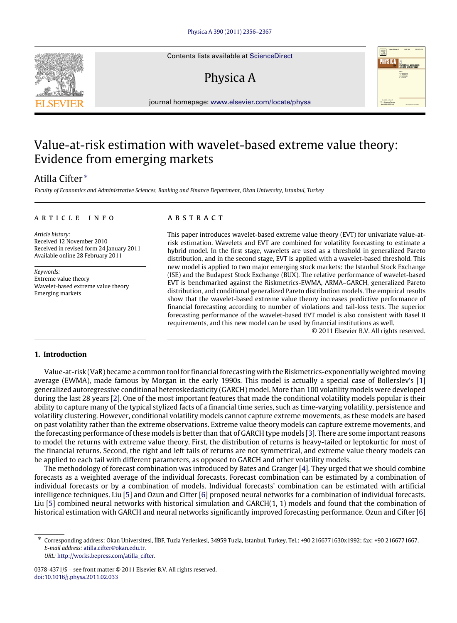Contents lists available at [ScienceDirect](http://www.elsevier.com/locate/physa)

## Physica A



journal homepage: [www.elsevier.com/locate/physa](http://www.elsevier.com/locate/physa)

### Value-at-risk estimation with wavelet-based extreme value theory: Evidence from emerging markets

### Atilla Cifter [∗](#page-0-0)

*Faculty of Economics and Administrative Sciences, Banking and Finance Department, Okan University, Istanbul, Turkey*

#### a r t i c l e i n f o

*Article history:* Received 12 November 2010 Received in revised form 24 January 2011 Available online 28 February 2011

*Keywords:* Extreme value theory Wavelet-based extreme value theory Emerging markets

#### a b s t r a c t

This paper introduces wavelet-based extreme value theory (EVT) for univariate value-atrisk estimation. Wavelets and EVT are combined for volatility forecasting to estimate a hybrid model. In the first stage, wavelets are used as a threshold in generalized Pareto distribution, and in the second stage, EVT is applied with a wavelet-based threshold. This new model is applied to two major emerging stock markets: the Istanbul Stock Exchange (ISE) and the Budapest Stock Exchange (BUX). The relative performance of wavelet-based EVT is benchmarked against the Riskmetrics-EWMA, ARMA–GARCH, generalized Pareto distribution, and conditional generalized Pareto distribution models. The empirical results show that the wavelet-based extreme value theory increases predictive performance of financial forecasting according to number of violations and tail-loss tests. The superior forecasting performance of the wavelet-based EVT model is also consistent with Basel II requirements, and this new model can be used by financial institutions as well.

© 2011 Elsevier B.V. All rights reserved.

#### **1. Introduction**

Value-at-risk (VaR) became a common tool for financial forecasting with the Riskmetrics-exponentially weighted moving average (EWMA), made famous by Morgan in the early 1990s. This model is actually a special case of Bollerslev's [\[1\]](#page--1-0) generalized autoregressive conditional heteroskedasticity (GARCH) model. More than 100 volatility models were developed during the last 28 years [\[2\]](#page--1-1). One of the most important features that made the conditional volatility models popular is their ability to capture many of the typical stylized facts of a financial time series, such as time-varying volatility, persistence and volatility clustering. However, conditional volatility models cannot capture extreme movements, as these models are based on past volatility rather than the extreme observations. Extreme value theory models can capture extreme movements, and the forecasting performance of these models is better than that of GARCH type models [\[3\]](#page--1-2). There are some important reasons to model the returns with extreme value theory. First, the distribution of returns is heavy-tailed or leptokurtic for most of the financial returns. Second, the right and left tails of returns are not symmetrical, and extreme value theory models can be applied to each tail with different parameters, as opposed to GARCH and other volatility models.

The methodology of forecast combination was introduced by Bates and Granger [\[4\]](#page--1-3). They urged that we should combine forecasts as a weighted average of the individual forecasts. Forecast combination can be estimated by a combination of individual forecasts or by a combination of models. Individual forecasts' combination can be estimated with artificial intelligence techniques. Liu [\[5\]](#page--1-4) and Ozun and Cifter [\[6\]](#page--1-5) proposed neural networks for a combination of individual forecasts. Liu [\[5\]](#page--1-4) combined neural networks with historical simulation and GARCH(1, 1) models and found that the combination of historical estimation with GARCH and neural networks significantly improved forecasting performance. Ozun and Cifter [\[6\]](#page--1-5)

*URL:* [http://works.bepress.com/atilla\\_cifter.](http://works.bepress.com/atilla_cifter)



<span id="page-0-0"></span><sup>∗</sup> Corresponding address: Okan Universitesi, İİBF, Tuzla Yerleskesi, 34959 Tuzla, Istanbul, Turkey. Tel.: +90 2166771630x1992; fax: +90 2166771667. *E-mail address:* [atilla.cifter@okan.edu.tr.](mailto:atilla.cifter@okan.edu.tr)

<sup>0378-4371/\$ –</sup> see front matter © 2011 Elsevier B.V. All rights reserved. [doi:10.1016/j.physa.2011.02.033](http://dx.doi.org/10.1016/j.physa.2011.02.033)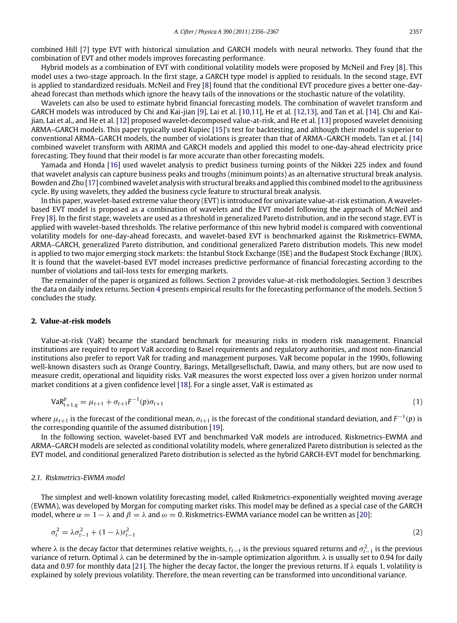combined Hill [\[7\]](#page--1-6) type EVT with historical simulation and GARCH models with neural networks. They found that the combination of EVT and other models improves forecasting performance.

Hybrid models as a combination of EVT with conditional volatility models were proposed by McNeil and Frey [\[8\]](#page--1-7). This model uses a two-stage approach. In the first stage, a GARCH type model is applied to residuals. In the second stage, EVT is applied to standardized residuals. McNeil and Frey [\[8\]](#page--1-7) found that the conditional EVT procedure gives a better one-dayahead forecast than methods which ignore the heavy tails of the innovations or the stochastic nature of the volatility.

Wavelets can also be used to estimate hybrid financial forecasting models. The combination of wavelet transform and GARCH models was introduced by Chi and Kai-jian [\[9\]](#page--1-8), Lai et al. [\[10](#page--1-9)[,11\]](#page--1-10), He et al. [\[12](#page--1-11)[,13\]](#page--1-12), and Tan et al. [\[14\]](#page--1-13). Chi and Kaijian, Lai et al., and He et al. [\[12\]](#page--1-11) proposed wavelet-decomposed value-at-risk, and He et al. [\[13\]](#page--1-12) proposed wavelet denoising ARMA–GARCH models. This paper typically used Kupiec [\[15\]](#page--1-14)'s test for backtesting, and although their model is superior to conventional ARMA–GARCH models, the number of violations is greater than that of ARMA–GARCH models. Tan et al. [\[14\]](#page--1-13) combined wavelet transform with ARIMA and GARCH models and applied this model to one-day-ahead electricity price forecasting. They found that their model is far more accurate than other forecasting models.

Yamada and Honda [\[16\]](#page--1-15) used wavelet analysis to predict business turning points of the Nikkei 225 index and found that wavelet analysis can capture business peaks and troughs (minimum points) as an alternative structural break analysis. Bowden and Zhu [\[17\]](#page--1-16) combined wavelet analysis with structural breaks and applied this combined model to the agribusiness cycle. By using wavelets, they added the business cycle feature to structural break analysis.

In this paper, wavelet-based extreme value theory (EVT) is introduced for univariate value-at-risk estimation. A waveletbased EVT model is proposed as a combination of wavelets and the EVT model following the approach of McNeil and Frey [\[8\]](#page--1-7). In the first stage, wavelets are used as a threshold in generalized Pareto distribution, and in the second stage, EVT is applied with wavelet-based thresholds. The relative performance of this new hybrid model is compared with conventional volatility models for one-day-ahead forecasts, and wavelet-based EVT is benchmarked against the Riskmetrics-EWMA, ARMA–GARCH, generalized Pareto distribution, and conditional generalized Pareto distribution models. This new model is applied to two major emerging stock markets: the Istanbul Stock Exchange (ISE) and the Budapest Stock Exchange (BUX). It is found that the wavelet-based EVT model increases predictive performance of financial forecasting according to the number of violations and tail-loss tests for emerging markets.

The remainder of the paper is organized as follows. Section [2](#page-1-0) provides value-at-risk methodologies. Section [3](#page--1-17) describes the data on daily index returns. Section [4](#page--1-18) presents empirical results for the forecasting performance of the models. Section [5](#page--1-19) concludes the study.

#### <span id="page-1-0"></span>**2. Value-at-risk models**

Value-at-risk (VaR) became the standard benchmark for measuring risks in modern risk management. Financial institutions are required to report VaR according to Basel requirements and regulatory authorities, and most non-financial institutions also prefer to report VaR for trading and management purposes. VaR become popular in the 1990s, following well-known disasters such as Orange Country, Barings, Metallgesellschaft, Dawia, and many others, but are now used to measure credit, operational and liquidity risks. VaR measures the worst expected loss over a given horizon under normal market conditions at a given confidence level [\[18\]](#page--1-20). For a single asset, VaR is estimated as

$$
VaR_{t+1,q}^p = \mu_{t+1} + \sigma_{t+1}F^{-1}(p)\sigma_{t+1}
$$
\n(1)

where  $\mu_{t+1}$  is the forecast of the conditional mean,  $\sigma_{t+1}$  is the forecast of the conditional standard deviation, and  $F^{-1}(p)$  is the corresponding quantile of the assumed distribution [\[19\]](#page--1-21).

In the following section, wavelet-based EVT and benchmarked VaR models are introduced. Riskmetrics-EWMA and ARMA–GARCH models are selected as conditional volatility models, where generalized Pareto distribution is selected as the EVT model, and conditional generalized Pareto distribution is selected as the hybrid GARCH-EVT model for benchmarking.

#### *2.1. Riskmetrics-EWMA model*

The simplest and well-known volatility forecasting model, called Riskmetrics-exponentially weighted moving average (EWMA), was developed by Morgan for computing market risks. This model may be defined as a special case of the GARCH model, where  $\alpha = 1 - \lambda$  and  $\beta = \lambda$  and  $\omega = 0$ . Riskmetrics-EWMA variance model can be written as [\[20\]](#page--1-22):

$$
\sigma_t^2 = \lambda \sigma_{t-1}^2 + (1 - \lambda) r_{t-1}^2 \tag{2}
$$

where λ is the decay factor that determines relative weights,  $r_{t-1}$  is the previous squared returns and  $\sigma_{t-1}^2$  is the previous variance of return. Optimal  $\lambda$  can be determined by the in-sample optimization algorithm.  $\lambda$  is usually set to 0.94 for daily data and 0.97 for monthly data [\[21\]](#page--1-23). The higher the decay factor, the longer the previous returns. If  $\lambda$  equals 1, volatility is explained by solely previous volatility. Therefore, the mean reverting can be transformed into unconditional variance.